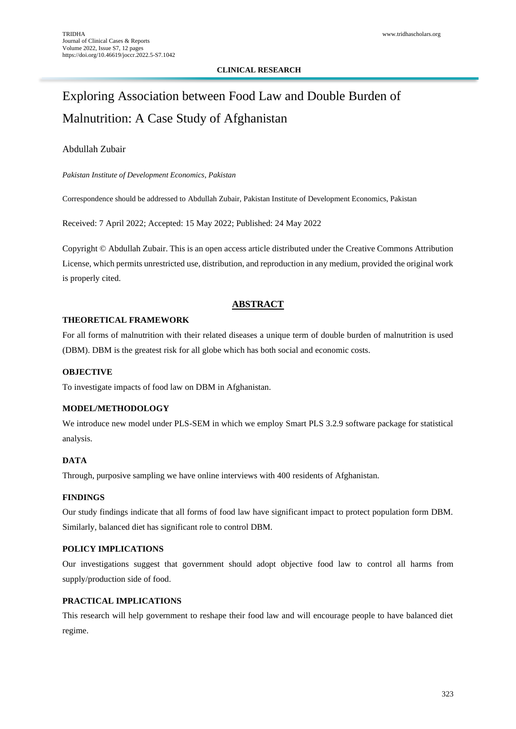# **CLINICAL RESEARCH**

# Exploring Association between Food Law and Double Burden of Malnutrition: A Case Study of Afghanistan

# Abdullah Zubair

*Pakistan Institute of Development Economics, Pakistan*

Correspondence should be addressed to Abdullah Zubair, Pakistan Institute of Development Economics, Pakistan

Received: 7 April 2022; Accepted: 15 May 2022; Published: 24 May 2022

Copyright © Abdullah Zubair. This is an open access article distributed under the Creative Commons Attribution License, which permits unrestricted use, distribution, and reproduction in any medium, provided the original work is properly cited.

# **ABSTRACT**

# **THEORETICAL FRAMEWORK**

For all forms of malnutrition with their related diseases a unique term of double burden of malnutrition is used (DBM). DBM is the greatest risk for all globe which has both social and economic costs.

# **OBJECTIVE**

To investigate impacts of food law on DBM in Afghanistan.

# **MODEL/METHODOLOGY**

We introduce new model under PLS-SEM in which we employ Smart PLS 3.2.9 software package for statistical analysis.

# **DATA**

Through, purposive sampling we have online interviews with 400 residents of Afghanistan.

# **FINDINGS**

Our study findings indicate that all forms of food law have significant impact to protect population form DBM. Similarly, balanced diet has significant role to control DBM.

# **POLICY IMPLICATIONS**

Our investigations suggest that government should adopt objective food law to control all harms from supply/production side of food.

# **PRACTICAL IMPLICATIONS**

This research will help government to reshape their food law and will encourage people to have balanced diet regime.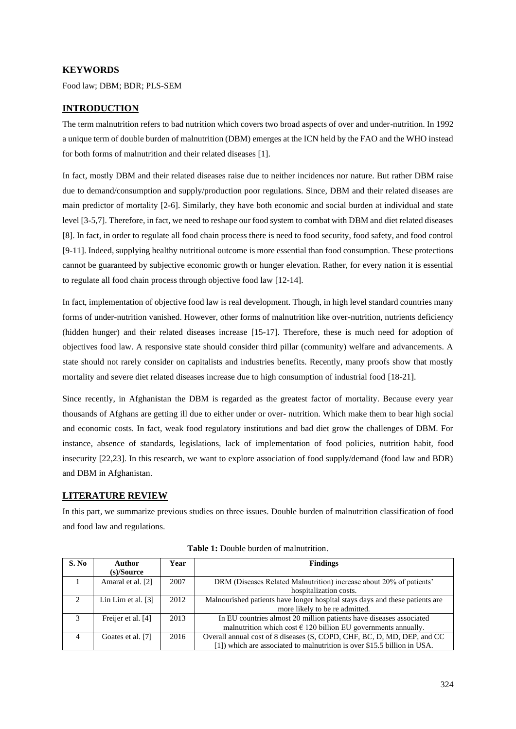## **KEYWORDS**

Food law; DBM; BDR; PLS-SEM

## **INTRODUCTION**

The term malnutrition refers to bad nutrition which covers two broad aspects of over and under-nutrition. In 1992 a unique term of double burden of malnutrition (DBM) emerges at the ICN held by the FAO and the WHO instead for both forms of malnutrition and their related diseases [1].

In fact, mostly DBM and their related diseases raise due to neither incidences nor nature. But rather DBM raise due to demand/consumption and supply/production poor regulations. Since, DBM and their related diseases are main predictor of mortality [2-6]. Similarly, they have both economic and social burden at individual and state level [3-5,7]. Therefore, in fact, we need to reshape our food system to combat with DBM and diet related diseases [8]. In fact, in order to regulate all food chain process there is need to food security, food safety, and food control [9-11]. Indeed, supplying healthy nutritional outcome is more essential than food consumption. These protections cannot be guaranteed by subjective economic growth or hunger elevation. Rather, for every nation it is essential to regulate all food chain process through objective food law [12-14].

In fact, implementation of objective food law is real development. Though, in high level standard countries many forms of under-nutrition vanished. However, other forms of malnutrition like over-nutrition, nutrients deficiency (hidden hunger) and their related diseases increase [15-17]. Therefore, these is much need for adoption of objectives food law. A responsive state should consider third pillar (community) welfare and advancements. A state should not rarely consider on capitalists and industries benefits. Recently, many proofs show that mostly mortality and severe diet related diseases increase due to high consumption of industrial food [18-21].

Since recently, in Afghanistan the DBM is regarded as the greatest factor of mortality. Because every year thousands of Afghans are getting ill due to either under or over- nutrition. Which make them to bear high social and economic costs. In fact, weak food regulatory institutions and bad diet grow the challenges of DBM. For instance, absence of standards, legislations, lack of implementation of food policies, nutrition habit, food insecurity [22,23]. In this research, we want to explore association of food supply/demand (food law and BDR) and DBM in Afghanistan.

## **LITERATURE REVIEW**

In this part, we summarize previous studies on three issues. Double burden of malnutrition classification of food and food law and regulations.

| S. No         | <b>Author</b>        | Year | <b>Findings</b>                                                              |
|---------------|----------------------|------|------------------------------------------------------------------------------|
|               | $(s)/\text{Source}$  |      |                                                                              |
|               | Amaral et al. [2]    | 2007 | DRM (Diseases Related Malnutrition) increase about 20% of patients'          |
|               |                      |      | hospitalization costs.                                                       |
| $\mathcal{L}$ | Lin Lim et al. $[3]$ | 2012 | Malnourished patients have longer hospital stays days and these patients are |
|               |                      |      | more likely to be re admitted.                                               |
| 3             | Freijer et al. [4]   | 2013 | In EU countries almost 20 million patients have diseases associated          |
|               |                      |      | malnutrition which cost $\epsilon$ 120 billion EU governments annually.      |
| 4             | Goates et al. [7]    | 2016 | Overall annual cost of 8 diseases (S, COPD, CHF, BC, D, MD, DEP, and CC      |
|               |                      |      | [1]) which are associated to malnutrition is over \$15.5 billion in USA.     |

| <b>Table 1:</b> Double burden of malnutrition. |  |  |  |  |  |
|------------------------------------------------|--|--|--|--|--|
|------------------------------------------------|--|--|--|--|--|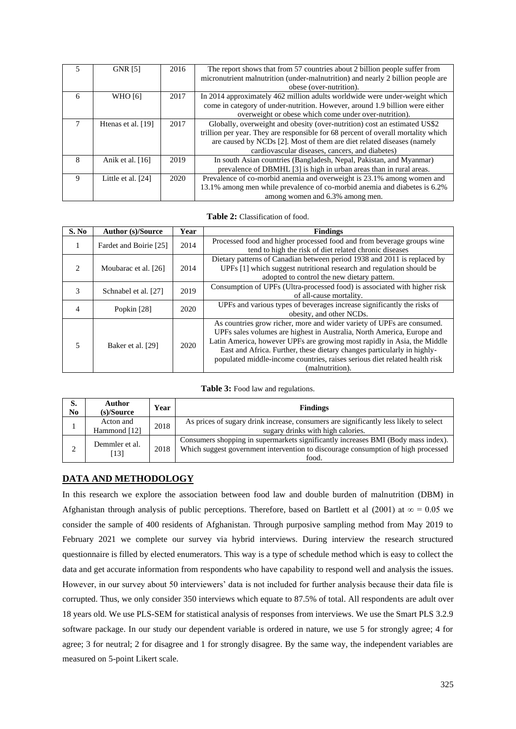|   | <b>GNR [5]</b>     | 2016 | The report shows that from 57 countries about 2 billion people suffer from        |  |
|---|--------------------|------|-----------------------------------------------------------------------------------|--|
|   |                    |      | micronutrient malnutrition (under-malnutrition) and nearly 2 billion people are   |  |
|   |                    |      | obese (over-nutrition).                                                           |  |
| 6 | <b>WHO</b> [6]     | 2017 | In 2014 approximately 462 million adults worldwide were under-weight which        |  |
|   |                    |      | come in category of under-nutrition. However, around 1.9 billion were either      |  |
|   |                    |      | overweight or obese which come under over-nutrition).                             |  |
| 7 | Henas et al. [19]  | 2017 | Globally, overweight and obesity (over-nutrition) cost an estimated US\$2         |  |
|   |                    |      | trillion per year. They are responsible for 68 percent of overall mortality which |  |
|   |                    |      | are caused by NCDs [2]. Most of them are diet related diseases (namely            |  |
|   |                    |      | cardiovascular diseases, cancers, and diabetes)                                   |  |
| 8 | Anik et al. $[16]$ | 2019 | In south Asian countries (Bangladesh, Nepal, Pakistan, and Myanmar)               |  |
|   |                    |      | prevalence of DBMHL [3] is high in urban areas than in rural areas.               |  |
| 9 | Little et al. [24] | 2020 | Prevalence of co-morbid anemia and overweight is 23.1% among women and            |  |
|   |                    |      | 13.1% among men while prevalence of co-morbid anemia and diabetes is 6.2%         |  |
|   |                    |      | among women and 6.3% among men.                                                   |  |

#### **Table 2:** Classification of food.

| S. No          | <b>Author (s)/Source</b> | Year | <b>Findings</b>                                                                                                                                                                                                                                                                                                                                                                                          |  |
|----------------|--------------------------|------|----------------------------------------------------------------------------------------------------------------------------------------------------------------------------------------------------------------------------------------------------------------------------------------------------------------------------------------------------------------------------------------------------------|--|
|                | Fardet and Boirie [25]   | 2014 | Processed food and higher processed food and from beverage groups wine<br>tend to high the risk of diet related chronic diseases                                                                                                                                                                                                                                                                         |  |
| $\mathfrak{D}$ | Moubarac et al. [26]     | 2014 | Dietary patterns of Canadian between period 1938 and 2011 is replaced by<br>UPFs [1] which suggest nutritional research and regulation should be<br>adopted to control the new dietary pattern.                                                                                                                                                                                                          |  |
| 3              | Schnabel et al. [27]     | 2019 | Consumption of UPFs (Ultra-processed food) is associated with higher risk<br>of all-cause mortality.                                                                                                                                                                                                                                                                                                     |  |
| 4              | Popkin [28]              | 2020 | UPFs and various types of beverages increase significantly the risks of<br>obesity, and other NCDs.                                                                                                                                                                                                                                                                                                      |  |
| 5              | Baker et al. [29]        | 2020 | As countries grow richer, more and wider variety of UPFs are consumed.<br>UPFs sales volumes are highest in Australia, North America, Europe and<br>Latin America, however UPFs are growing most rapidly in Asia, the Middle<br>East and Africa. Further, these dietary changes particularly in highly-<br>populated middle-income countries, raises serious diet related health risk<br>(malnutrition). |  |

#### Table 3: Food law and regulations.

| S.<br>No | Author<br>$(s)/\text{Source}$ | Year | <b>Findings</b>                                                                                                                                                                 |
|----------|-------------------------------|------|---------------------------------------------------------------------------------------------------------------------------------------------------------------------------------|
|          | Acton and<br>Hammond [12]     | 2018 | As prices of sugary drink increase, consumers are significantly less likely to select<br>sugary drinks with high calories.                                                      |
| C        | Demmler et al.<br>[13]        | 2018 | Consumers shopping in supermarkets significantly increases BMI (Body mass index).<br>Which suggest government intervention to discourage consumption of high processed<br>food. |

#### **DATA AND METHODOLOGY**

In this research we explore the association between food law and double burden of malnutrition (DBM) in Afghanistan through analysis of public perceptions. Therefore, based on Bartlett et al (2001) at  $\infty = 0.05$  we consider the sample of 400 residents of Afghanistan. Through purposive sampling method from May 2019 to February 2021 we complete our survey via hybrid interviews. During interview the research structured questionnaire is filled by elected enumerators. This way is a type of schedule method which is easy to collect the data and get accurate information from respondents who have capability to respond well and analysis the issues. However, in our survey about 50 interviewers' data is not included for further analysis because their data file is corrupted. Thus, we only consider 350 interviews which equate to 87.5% of total. All respondents are adult over 18 years old. We use PLS-SEM for statistical analysis of responses from interviews. We use the Smart PLS 3.2.9 software package. In our study our dependent variable is ordered in nature, we use 5 for strongly agree; 4 for agree; 3 for neutral; 2 for disagree and 1 for strongly disagree. By the same way, the independent variables are measured on 5-point Likert scale.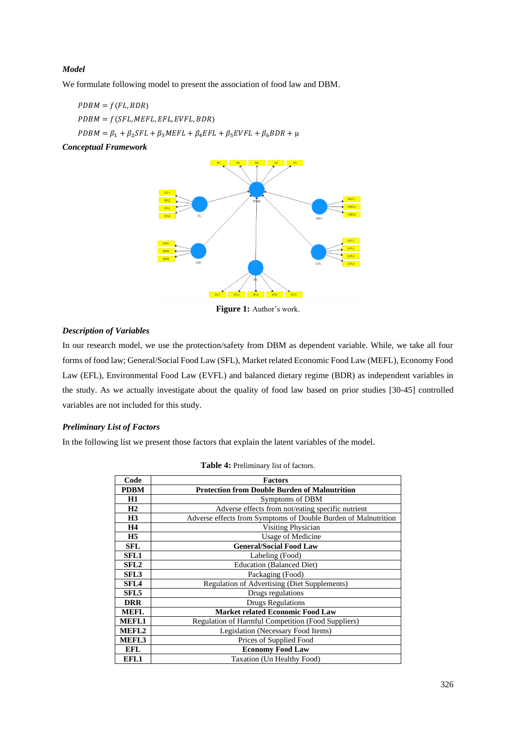## *Model*

We formulate following model to present the association of food law and DBM.

 $PDBM = f(FL, BDR)$  $PDBM = f(SFL, METL, EFL, EVFL, BDR)$  $PDBM = \beta_1 + \beta_2 SFL + \beta_3 M EFL + \beta_4 EFL + \beta_5 E VFL + \beta_6 BDR + \mu$ 

*Conceptual Framework*



**Figure 1:** Author's work.

## *Description of Variables*

In our research model, we use the protection/safety from DBM as dependent variable. While, we take all four forms of food law; General/Social Food Law (SFL), Market related Economic Food Law (MEFL), Economy Food Law (EFL), Environmental Food Law (EVFL) and balanced dietary regime (BDR) as independent variables in the study. As we actually investigate about the quality of food law based on prior studies [30-45] controlled variables are not included for this study.

#### *Preliminary List of Factors*

In the following list we present those factors that explain the latent variables of the model.

| Code              | <b>Factors</b>                                                 |  |
|-------------------|----------------------------------------------------------------|--|
| <b>PDBM</b>       | <b>Protection from Double Burden of Malnutrition</b>           |  |
| <b>H1</b>         | Symptoms of DBM                                                |  |
| H2                | Adverse effects from not/eating specific nutrient              |  |
| H <sub>3</sub>    | Adverse effects from Symptoms of Double Burden of Malnutrition |  |
| <b>H4</b>         | Visiting Physician                                             |  |
| H <sub>5</sub>    | <b>Usage of Medicine</b>                                       |  |
| <b>SFL</b>        | <b>General/Social Food Law</b>                                 |  |
| <b>SFL1</b>       | Labeling (Food)                                                |  |
| SFL <sub>2</sub>  | <b>Education (Balanced Diet)</b>                               |  |
| SFL3              | Packaging (Food)                                               |  |
| SFL <sub>4</sub>  | Regulation of Advertising (Diet Supplements)                   |  |
| SFL <sub>5</sub>  | Drugs regulations                                              |  |
| <b>DRR</b>        | <b>Drugs Regulations</b>                                       |  |
| <b>MEFL</b>       | <b>Market related Economic Food Law</b>                        |  |
| <b>MEFL1</b>      | <b>Regulation of Harmful Competition (Food Suppliers)</b>      |  |
| MEFL <sub>2</sub> | Legislation (Necessary Food Items)                             |  |
| MEFL3             | Prices of Supplied Food                                        |  |
| <b>EFL</b>        | <b>Economy Food Law</b>                                        |  |
| EFL1              | Taxation (Un Healthy Food)                                     |  |

| Table 4: Preliminary list of factors. |  |  |  |
|---------------------------------------|--|--|--|
|---------------------------------------|--|--|--|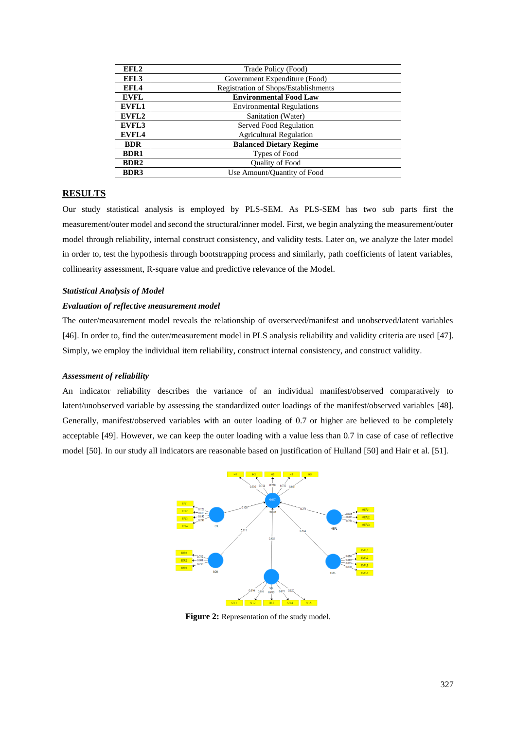| EFL2             | Trade Policy (Food)                  |
|------------------|--------------------------------------|
| EFL3             | Government Expenditure (Food)        |
| EFL4             | Registration of Shops/Establishments |
| <b>EVFL</b>      | <b>Environmental Food Law</b>        |
| <b>EVFL1</b>     | <b>Environmental Regulations</b>     |
| EVFL2            | Sanitation (Water)                   |
| EVFL3            | Served Food Regulation               |
| <b>EVFL4</b>     | <b>Agricultural Regulation</b>       |
| <b>BDR</b>       | <b>Balanced Dietary Regime</b>       |
| <b>BDR1</b>      | Types of Food                        |
| BDR <sub>2</sub> | Quality of Food                      |
| <b>BDR3</b>      | Use Amount/Quantity of Food          |

#### **RESULTS**

Our study statistical analysis is employed by PLS-SEM. As PLS-SEM has two sub parts first the measurement/outer model and second the structural/inner model. First, we begin analyzing the measurement/outer model through reliability, internal construct consistency, and validity tests. Later on, we analyze the later model in order to, test the hypothesis through bootstrapping process and similarly, path coefficients of latent variables, collinearity assessment, R-square value and predictive relevance of the Model.

#### *Statistical Analysis of Model*

#### *Evaluation of reflective measurement model*

The outer/measurement model reveals the relationship of overserved/manifest and unobserved/latent variables [46]. In order to, find the outer/measurement model in PLS analysis reliability and validity criteria are used [47]. Simply, we employ the individual item reliability, construct internal consistency, and construct validity.

#### *Assessment of reliability*

An indicator reliability describes the variance of an individual manifest/observed comparatively to latent/unobserved variable by assessing the standardized outer loadings of the manifest/observed variables [48]. Generally, manifest/observed variables with an outer loading of 0.7 or higher are believed to be completely acceptable [49]. However, we can keep the outer loading with a value less than 0.7 in case of case of reflective model [50]. In our study all indicators are reasonable based on justification of Hulland [50] and Hair et al. [51].



**Figure 2:** Representation of the study model.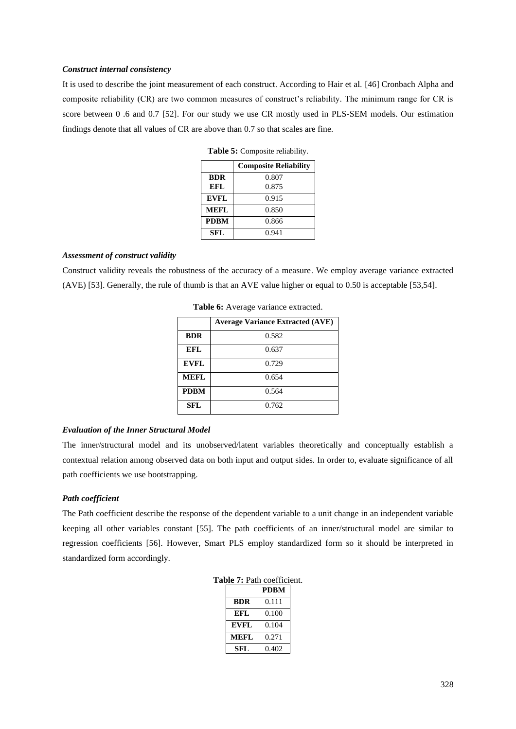#### *Construct internal consistency*

It is used to describe the joint measurement of each construct. According to Hair et al. [46] Cronbach Alpha and composite reliability (CR) are two common measures of construct's reliability. The minimum range for CR is score between 0 .6 and 0.7 [52]. For our study we use CR mostly used in PLS-SEM models. Our estimation findings denote that all values of CR are above than 0.7 so that scales are fine.

**Table 5:** Composite reliability.

|             | <b>Composite Reliability</b> |  |
|-------------|------------------------------|--|
| <b>BDR</b>  | 0.807                        |  |
| <b>EFL</b>  | 0.875                        |  |
| <b>EVFL</b> | 0.915                        |  |
| <b>MEFL</b> | 0.850                        |  |
| <b>PDBM</b> | 0.866                        |  |
| <b>SFL</b>  | 0.941                        |  |

#### *Assessment of construct validity*

Construct validity reveals the robustness of the accuracy of a measure. We employ average variance extracted (AVE) [53]. Generally, the rule of thumb is that an AVE value higher or equal to 0.50 is acceptable [53,54].

|             | <b>Average Variance Extracted (AVE)</b> |
|-------------|-----------------------------------------|
| <b>BDR</b>  | 0.582                                   |
| EFL         | 0.637                                   |
| <b>EVFL</b> | 0.729                                   |
| <b>MEFL</b> | 0.654                                   |
| <b>PDBM</b> | 0.564                                   |
| <b>SFL</b>  | 0.762                                   |

Table 6: Average variance extracted.

#### *Evaluation of the Inner Structural Model*

The inner/structural model and its unobserved/latent variables theoretically and conceptually establish a contextual relation among observed data on both input and output sides. In order to, evaluate significance of all path coefficients we use bootstrapping.

## *Path coefficient*

The Path coefficient describe the response of the dependent variable to a unit change in an independent variable keeping all other variables constant [55]. The path coefficients of an inner/structural model are similar to regression coefficients [56]. However, Smart PLS employ standardized form so it should be interpreted in standardized form accordingly.

**Table 7:** Path coefficient.

|             | <b>PDBM</b> |
|-------------|-------------|
| <b>BDR</b>  | 0.111       |
| <b>EFL</b>  | 0.100       |
| <b>EVFL</b> | 0.104       |
| <b>MEFL</b> | 0.271       |
| SFL         | 0.402       |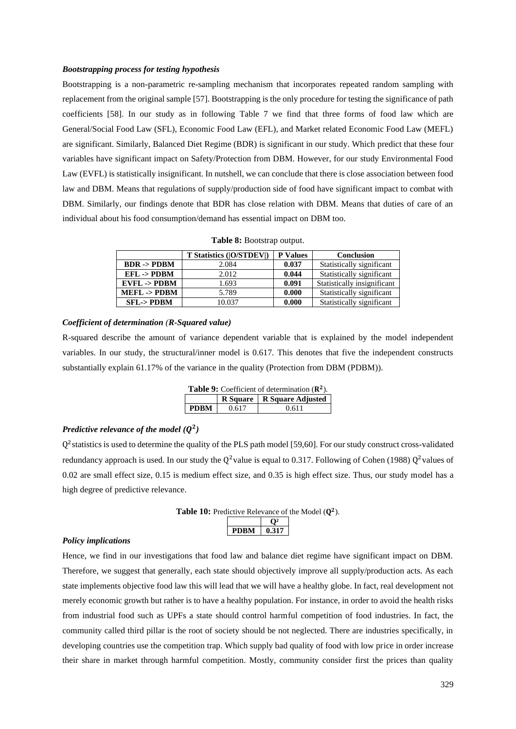#### *Bootstrapping process for testing hypothesis*

Bootstrapping is a non-parametric re-sampling mechanism that incorporates repeated random sampling with replacement from the original sample [57]. Bootstrapping is the only procedure for testing the significance of path coefficients [58]. In our study as in following Table 7 we find that three forms of food law which are General/Social Food Law (SFL), Economic Food Law (EFL), and Market related Economic Food Law (MEFL) are significant. Similarly, Balanced Diet Regime (BDR) is significant in our study. Which predict that these four variables have significant impact on Safety/Protection from DBM. However, for our study Environmental Food Law (EVFL) is statistically insignificant. In nutshell, we can conclude that there is close association between food law and DBM. Means that regulations of supply/production side of food have significant impact to combat with DBM. Similarly, our findings denote that BDR has close relation with DBM. Means that duties of care of an individual about his food consumption/demand has essential impact on DBM too.

|  | Table 8: Bootstrap output. |  |
|--|----------------------------|--|
|--|----------------------------|--|

|                        | <b>T Statistics ([O/STDEV])</b> | <b>P</b> Values | Conclusion                  |
|------------------------|---------------------------------|-----------------|-----------------------------|
| $BDR \rightarrow PDBM$ | 2.084                           | 0.037           | Statistically significant   |
| $EFL$ -> $PDBM$        | 2.012                           | 0.044           | Statistically significant   |
| $EVEL$ -> $PDBM$       | 1.693                           | 0.091           | Statistically insignificant |
| $MEFL - > PDBM$        | 5.789                           | 0.000           | Statistically significant   |
| <b>SFL-&gt;PDBM</b>    | 10.037                          | 0.000           | Statistically significant   |

#### *Coefficient of determination (R-Squared value)*

R-squared describe the amount of variance dependent variable that is explained by the model independent variables. In our study, the structural/inner model is 0.617. This denotes that five the independent constructs substantially explain 61.17% of the variance in the quality (Protection from DBM (PDBM)).

| <b>Table 9:</b> Coefficient of determination $(\mathbb{R}^2)$ . |       |                              |  |  |
|-----------------------------------------------------------------|-------|------------------------------|--|--|
|                                                                 |       | R Square   R Square Adjusted |  |  |
| <b>PDBM</b>                                                     | 0.617 | 0.611                        |  |  |

## *Predictive relevance of the model*  $(Q^2)$

Q<sup>2</sup> statistics is used to determine the quality of the PLS path model [59,60]. For our study construct cross-validated redundancy approach is used. In our study the  $Q^2$  value is equal to 0.317. Following of Cohen (1988)  $Q^2$  values of 0.02 are small effect size, 0.15 is medium effect size, and 0.35 is high effect size. Thus, our study model has a high degree of predictive relevance.



#### *Policy implications*

Hence, we find in our investigations that food law and balance diet regime have significant impact on DBM. Therefore, we suggest that generally, each state should objectively improve all supply/production acts. As each state implements objective food law this will lead that we will have a healthy globe. In fact, real development not merely economic growth but rather is to have a healthy population. For instance, in order to avoid the health risks from industrial food such as UPFs a state should control harmful competition of food industries. In fact, the community called third pillar is the root of society should be not neglected. There are industries specifically, in developing countries use the competition trap. Which supply bad quality of food with low price in order increase their share in market through harmful competition. Mostly, community consider first the prices than quality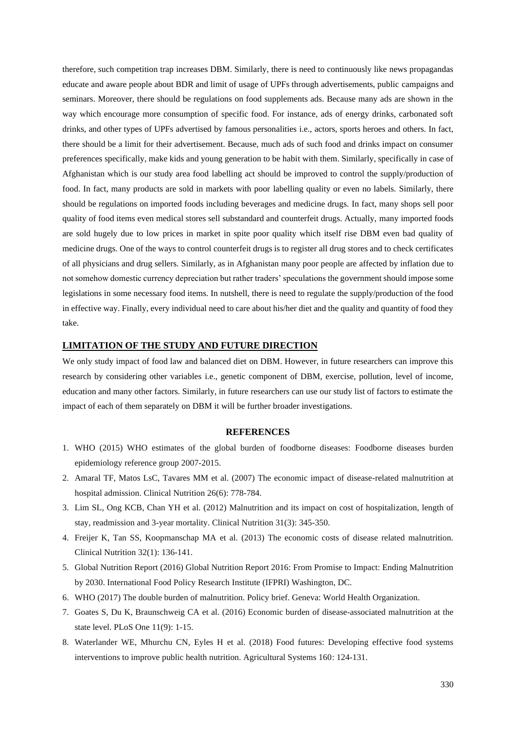therefore, such competition trap increases DBM. Similarly, there is need to continuously like news propagandas educate and aware people about BDR and limit of usage of UPFs through advertisements, public campaigns and seminars. Moreover, there should be regulations on food supplements ads. Because many ads are shown in the way which encourage more consumption of specific food. For instance, ads of energy drinks, carbonated soft drinks, and other types of UPFs advertised by famous personalities i.e., actors, sports heroes and others. In fact, there should be a limit for their advertisement. Because, much ads of such food and drinks impact on consumer preferences specifically, make kids and young generation to be habit with them. Similarly, specifically in case of Afghanistan which is our study area food labelling act should be improved to control the supply/production of food. In fact, many products are sold in markets with poor labelling quality or even no labels. Similarly, there should be regulations on imported foods including beverages and medicine drugs. In fact, many shops sell poor quality of food items even medical stores sell substandard and counterfeit drugs. Actually, many imported foods are sold hugely due to low prices in market in spite poor quality which itself rise DBM even bad quality of medicine drugs. One of the ways to control counterfeit drugs is to register all drug stores and to check certificates of all physicians and drug sellers. Similarly, as in Afghanistan many poor people are affected by inflation due to not somehow domestic currency depreciation but rather traders' speculations the government should impose some legislations in some necessary food items. In nutshell, there is need to regulate the supply/production of the food in effective way. Finally, every individual need to care about his/her diet and the quality and quantity of food they take.

### **LIMITATION OF THE STUDY AND FUTURE DIRECTION**

We only study impact of food law and balanced diet on DBM. However, in future researchers can improve this research by considering other variables i.e., genetic component of DBM, exercise, pollution, level of income, education and many other factors. Similarly, in future researchers can use our study list of factors to estimate the impact of each of them separately on DBM it will be further broader investigations.

#### **REFERENCES**

- 1. WHO (2015) [WHO estimates of the global burden of foodborne diseases: Foodborne diseases burden](https://apps.who.int/iris/handle/10665/199350)  [epidemiology reference group 2007-2015.](https://apps.who.int/iris/handle/10665/199350)
- 2. Amaral TF, Matos LsC, Tavares MM et al. (2007) [The economic impact of disease-related malnutrition at](https://pubmed.ncbi.nlm.nih.gov/17936442/)  [hospital admission. Clinical Nutrition 26\(6\):](https://pubmed.ncbi.nlm.nih.gov/17936442/) 778-784.
- 3. Lim SL, Ong KCB, Chan YH et al. (2012) [Malnutrition and its impact on cost of hospitalization, length of](https://pubmed.ncbi.nlm.nih.gov/22122869/)  [stay, readmission and 3-year mortality. Clinical Nutrition 31\(3\):](https://pubmed.ncbi.nlm.nih.gov/22122869/) 345-350.
- 4. Freijer K, Tan SS, Koopmanschap MA et al. (2013) [The economic costs of disease related malnutrition.](https://pubmed.ncbi.nlm.nih.gov/22789931/)  [Clinical Nutrition 32\(1\):](https://pubmed.ncbi.nlm.nih.gov/22789931/) 136-141.
- 5. [Global Nutrition Report \(2016\) Global Nutrition Report 2016:](https://www.ifpri.org/publication/global-nutrition-report-2016-promise-impact-ending-malnutrition-2030) From Promise to Impact: Ending Malnutrition by 2030. International Food Policy [Research Institute \(IFPRI\) Washington, DC.](https://www.ifpri.org/publication/global-nutrition-report-2016-promise-impact-ending-malnutrition-2030)
- 6. WHO (2017) The double burden of malnutrition. [Policy brief. Geneva: World Health Organization.](https://www.who.int/publications/i/item/WHO-NMH-NHD-17.3)
- 7. Goates S, Du K, Braunschweig CA et al. (2016) [Economic burden of disease-associated malnutrition at the](https://www.ncbi.nlm.nih.gov/pmc/articles/PMC5031313/)  [state level. PLoS One](https://www.ncbi.nlm.nih.gov/pmc/articles/PMC5031313/) 11(9): 1-15.
- 8. Waterlander WE, Mhurchu CN, Eyles H et al. (2018) [Food futures: Developing effective food systems](https://www.sciencedirect.com/science/article/abs/pii/S0308521X17300409)  [interventions to improve public health nutrition. Agricultural Systems 160: 124-131.](https://www.sciencedirect.com/science/article/abs/pii/S0308521X17300409)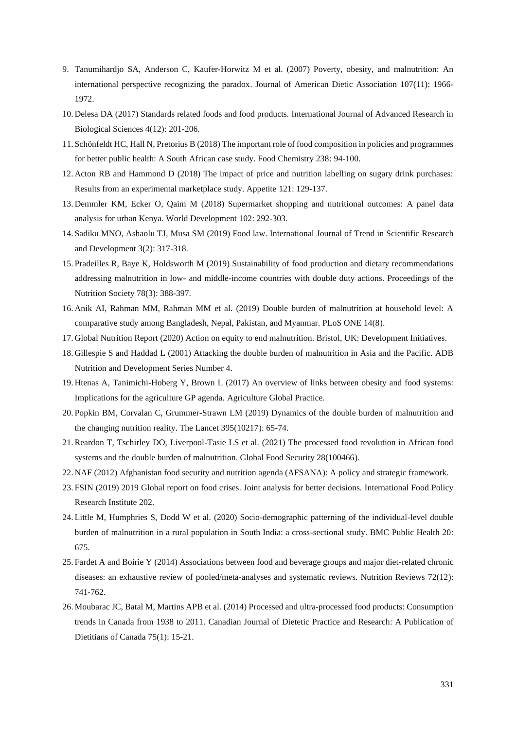- 9. Tanumihardjo SA, Anderson C, Kaufer-Horwitz M et al. (2007) [Poverty, obesity, and malnutrition: An](https://pubmed.ncbi.nlm.nih.gov/17964317/)  [international perspective recognizing the paradox. Journal of](https://pubmed.ncbi.nlm.nih.gov/17964317/) American Dietic Association 107(11): 1966- [1972.](https://pubmed.ncbi.nlm.nih.gov/17964317/)
- 10. Delesa DA (2017) [Standards related foods and food products. International Journal of Advanced Research in](https://ijarbs.com/pdfcopy/dec2017/ijarbs20.pdf)  [Biological Sciences 4\(12\):](https://ijarbs.com/pdfcopy/dec2017/ijarbs20.pdf) 201-206.
- 11. Schönfeldt HC, Hall N, Pretorius B (2018) [The important role of food composition in policies and programmes](https://www.sciencedirect.com/science/article/abs/pii/S0308814616320891)  [for better public health: A South African case study. Food Chemistry 238:](https://www.sciencedirect.com/science/article/abs/pii/S0308814616320891) 94-100.
- 12. Acton RB and Hammond D (2018) [The impact of price and nutrition labelling on sugary drink purchases:](https://pubmed.ncbi.nlm.nih.gov/29146460/)  [Results from an experimental marketplace study. Appetite](https://pubmed.ncbi.nlm.nih.gov/29146460/) 121: 129-137.
- 13. Demmler KM, Ecker O, Qaim M (2018) [Supermarket shopping and nutritional outcomes: A panel data](https://www.sciencedirect.com/science/article/pii/S0305750X17302486)  [analysis for urban Kenya. World Development 102:](https://www.sciencedirect.com/science/article/pii/S0305750X17302486) 292-303.
- 14. Sadiku MNO, Ashaolu TJ, Musa SM (2019) [Food law. International Journal of Trend in Scientific Research](https://www.ijtsrd.com/engineering/food-engineering/21355/food-law/matthew-n-o-sadiku)  [and Development](https://www.ijtsrd.com/engineering/food-engineering/21355/food-law/matthew-n-o-sadiku) 3(2): 317-318.
- 15. Pradeilles R, Baye K, Holdsworth M (2019) [Sustainability of food production and dietary recommendations](https://pubmed.ncbi.nlm.nih.gov/30378510/)  addressing malnutrition in low- [and middle-income countries with double duty actions. Proceedings of the](https://pubmed.ncbi.nlm.nih.gov/30378510/)  [Nutrition Society 78\(3\):](https://pubmed.ncbi.nlm.nih.gov/30378510/) 388-397.
- 16. Anik AI, Rahman MM, Rahman MM et al. (2019) [Double burden of malnutrition at household level: A](https://journals.plos.org/plosone/article?id=10.1371/journal.pone.0221274)  [comparative study among Bangladesh, Nepal, Pakistan, and Myanmar. PLoS ONE 14\(8\).](https://journals.plos.org/plosone/article?id=10.1371/journal.pone.0221274)
- 17. Global Nutrition Report (2020) [Action on equity to end malnutrition. Bristol, UK: Development Initiatives.](https://globalnutritionreport.org/reports/2020-global-nutrition-report/)
- 18. Gillespie S and Haddad L (2001) [Attacking the double burden of malnutrition in Asia and the Pacific. ADB](https://www.adb.org/sites/default/files/publication/27917/double-burden-malnutrition-asia-pacific.pdf) [Nutrition and Development Series Number 4.](https://www.adb.org/sites/default/files/publication/27917/double-burden-malnutrition-asia-pacific.pdf)
- 19. Htenas A, Tanimichi-Hoberg Y, Brown L (2017) [An overview of links between obesity and food systems:](https://euagenda.eu/upload/publications/untitled-97922-ea.pdf)  [Implications for the agriculture GP agenda.](https://euagenda.eu/upload/publications/untitled-97922-ea.pdf) Agriculture Global Practice.
- 20. Popkin BM, Corvalan C, Grummer-Strawn LM (2019) [Dynamics of the double burden of malnutrition and](https://euagenda.eu/upload/publications/untitled-97922-ea.pdf)  [the changing nutrition reality. The Lancet 395\(10217\):](https://euagenda.eu/upload/publications/untitled-97922-ea.pdf) 65-74.
- 21.Reardon T, Tschirley DO, Liverpool-Tasie LS et al. (2021) [The processed food revolution in African food](https://www.sciencedirect.com/science/article/pii/S2211912420301206)  [systems and the double burden of malnutrition. Global Food Security 28\(100466\).](https://www.sciencedirect.com/science/article/pii/S2211912420301206)
- 22. NAF (2012) [Afghanistan food security and nutrition agenda \(AFSANA\): A policy and strategic framework.](https://www.gafspfund.org/sites/default/files/inline-files/6c.%20Afghanistan_Agriculture%20and%20Food%20Security%20Strategy.pdf)
- 23. FSIN (2019) [2019 Global report on food crises. Joint analysis for better decisions.](https://www.ifpri.org/publication/2019-global-report-food-crises-joint-analysis-better-decisions) International Food Policy [Research Institute 202.](https://www.ifpri.org/publication/2019-global-report-food-crises-joint-analysis-better-decisions)
- 24. Little M, Humphries S, Dodd W et al. (2020) [Socio-demographic patterning of the individual-level double](https://bmcpublichealth.biomedcentral.com/articles/10.1186/s12889-020-08679-5)  [burden of malnutrition in a rural population in South India: a cross-sectional study. BMC Public Health 20:](https://bmcpublichealth.biomedcentral.com/articles/10.1186/s12889-020-08679-5) [675.](https://bmcpublichealth.biomedcentral.com/articles/10.1186/s12889-020-08679-5)
- 25. Fardet A and Boirie Y (2014) [Associations between food and beverage groups and major diet-related chronic](https://pubmed.ncbi.nlm.nih.gov/25406801/)  [diseases: an exhaustive review of pooled/meta-analyses and systematic reviews. Nutrition Reviews 72\(12\):](https://pubmed.ncbi.nlm.nih.gov/25406801/) [741-762.](https://pubmed.ncbi.nlm.nih.gov/25406801/)
- 26. Moubarac JC, Batal M, Martins APB et al. (2014) [Processed and ultra-processed food products: Consumption](https://pubmed.ncbi.nlm.nih.gov/24606955/)  [trends in Canada from 1938 to 2011. Canadian Journal of Dietetic Practice and Research: A](https://pubmed.ncbi.nlm.nih.gov/24606955/) Publication of [Dietitians of Canada 75\(1\): 15-21.](https://pubmed.ncbi.nlm.nih.gov/24606955/)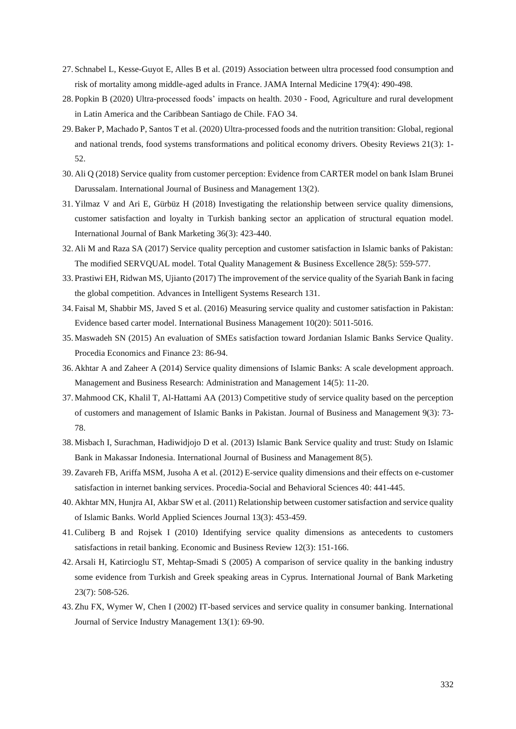- 27. Schnabel L, Kesse-Guyot E, Alles B et al. (2019) [Association between ultra processed](https://www.ncbi.nlm.nih.gov/pmc/articles/PMC6450295/) food consumption and [risk of mortality among middle-aged adults](https://www.ncbi.nlm.nih.gov/pmc/articles/PMC6450295/) in France. JAMA Internal Medicine 179(4): 490-498.
- 28. Popkin B (2020) [Ultra-processed foods' impacts on health. 2030 -](https://www.fao.org/documents/card/fr/c/ca7349en/) Food, Agriculture and rural development [in Latin America and the Caribbean Santiago de Chile. FAO](https://www.fao.org/documents/card/fr/c/ca7349en/) 34.
- 29.Baker P, Machado P, Santos T et al. (2020) [Ultra-processed foods and the nutrition transition: Global, regional](https://pubmed.ncbi.nlm.nih.gov/32761763/)  [and national trends, food systems transformations and political economy drivers. Obesity Reviews 21\(3\):](https://pubmed.ncbi.nlm.nih.gov/32761763/) 1- [52.](https://pubmed.ncbi.nlm.nih.gov/32761763/)
- 30. Ali Q (2018) [Service quality from customer perception: Evidence from CARTER model on bank Islam Brunei](https://www.ccsenet.org/journal/index.php/ijbm/article/view/72199)  [Darussalam. International Journal of Business and Management 13\(2\).](https://www.ccsenet.org/journal/index.php/ijbm/article/view/72199)
- 31. Yilmaz V and Ari E, Gürbüz H (2018) [Investigating the relationship between service quality dimensions,](https://www.emerald.com/insight/content/doi/10.1108/IJBM-02-2017-0037/full/html)  [customer satisfaction and loyalty in Turkish banking sector](https://www.emerald.com/insight/content/doi/10.1108/IJBM-02-2017-0037/full/html) an application of structural equation model. [International Journal of Bank Marketing 36\(3\):](https://www.emerald.com/insight/content/doi/10.1108/IJBM-02-2017-0037/full/html) 423-440.
- 32. Ali M and Raza SA (2017) [Service quality perception and customer satisfaction in Islamic banks of Pakistan:](https://www.tandfonline.com/doi/abs/10.1080/14783363.2015.1100517?journalCode=ctqm20)  [The modified SERVQUAL model. Total Quality Management](https://www.tandfonline.com/doi/abs/10.1080/14783363.2015.1100517?journalCode=ctqm20) & Business Excellence 28(5): 559-577.
- 33. Prastiwi EH, Ridwan MS, Ujianto (2017) [The improvement of the service quality of the Syariah Bank in facing](https://www.researchgate.net/publication/318803436_The_Improvement_of_the_Service_Quality_of_The_Syariah_Bank_in_Facing_The_Global_Competition)  [the global competition. Advances in Intelligent Systems Research 131.](https://www.researchgate.net/publication/318803436_The_Improvement_of_the_Service_Quality_of_The_Syariah_Bank_in_Facing_The_Global_Competition)
- 34. Faisal M, Shabbir MS, Javed S et al. (2016) [Measuring service quality and customer satisfaction in Pakistan:](https://medwelljournals.com/abstract/?doi=ibm.2016.5011.5016)  [Evidence based carter model. International Business](https://medwelljournals.com/abstract/?doi=ibm.2016.5011.5016) Management 10(20): 5011-5016.
- 35. Maswadeh SN (2015) [An evaluation of SMEs satisfaction toward Jordanian Islamic Banks Service Quality.](https://www.sciencedirect.com/science/article/pii/S2212567115004633)  [Procedia Economics and Finance 23:](https://www.sciencedirect.com/science/article/pii/S2212567115004633) 86-94.
- 36. Akhtar A and Zaheer A (2014) Service quality dimensions of [Islamic Banks: A scale development approach.](https://journalofbusiness.org/index.php/GJMBR/article/view/1273)  [Management and Business Research: Administration and Management 14\(5\):](https://journalofbusiness.org/index.php/GJMBR/article/view/1273) 11-20.
- 37. Mahmood CK, Khalil T, Al-Hattami AA (2013) [Competitive study of service quality based on the perception](https://www.iosrjournals.org/iosr-jbm/papers/Vol9-issue3/J0937378.pdf?id=5143)  of customers and management [of Islamic Banks in Pakistan. Journal of Business and Management 9\(3\):](https://www.iosrjournals.org/iosr-jbm/papers/Vol9-issue3/J0937378.pdf?id=5143) 73- [78.](https://www.iosrjournals.org/iosr-jbm/papers/Vol9-issue3/J0937378.pdf?id=5143)
- 38. Misbach I, Surachman, Hadiwidjojo D et al. (2013) [Islamic Bank Service quality and trust: Study on Islamic](https://www.ccsenet.org/journal/index.php/ijbm/article/view/23221)  [Bank in Makassar Indonesia. International Journal of Business and Management 8\(5\).](https://www.ccsenet.org/journal/index.php/ijbm/article/view/23221)
- 39. Zavareh FB, Ariffa MSM, Jusoha A et al. (2012) [E-service quality dimensions and their effects on e-customer](https://www.sciencedirect.com/science/article/pii/S1877042812006805)  [satisfaction in internet banking services. Procedia-Social and Behavioral Sciences 40: 441-445.](https://www.sciencedirect.com/science/article/pii/S1877042812006805)
- 40. Akhtar MN, Hunjra AI, Akbar SW et al. (2011) [Relationship between customer satisfaction and service quality](https://mpra.ub.uni-muenchen.de/40661/)  [of Islamic Banks. World Applied Sciences Journal 13\(3\):](https://mpra.ub.uni-muenchen.de/40661/) 453-459.
- 41.Culiberg B and Rojsek I (2010) [Identifying service quality dimensions as antecedents to customers](https://mpra.ub.uni-muenchen.de/40661/)  [satisfactions in retail banking. Economic and Business Review 12\(3\):](https://mpra.ub.uni-muenchen.de/40661/) 151-166.
- 42. Arsali H, Katircioglu ST, Mehtap-Smadi S (2005) [A comparison of service quality in](https://www.emerald.com/insight/content/doi/10.1108/02652320510629881/full/html) the banking industry [some evidence from Turkish and Greek speaking areas in Cyprus. International Journal of Bank Marketing](https://www.emerald.com/insight/content/doi/10.1108/02652320510629881/full/html) 23(7): [508-526.](https://www.emerald.com/insight/content/doi/10.1108/02652320510629881/full/html)
- 43. Zhu FX, Wymer W, Chen I (2002) [IT-based services and service quality in consumer banking. International](https://www.emerald.com/insight/content/doi/10.1108/09564230210421164/full/html)  [Journal of Service Industry Management 13\(1\):](https://www.emerald.com/insight/content/doi/10.1108/09564230210421164/full/html) 69-90.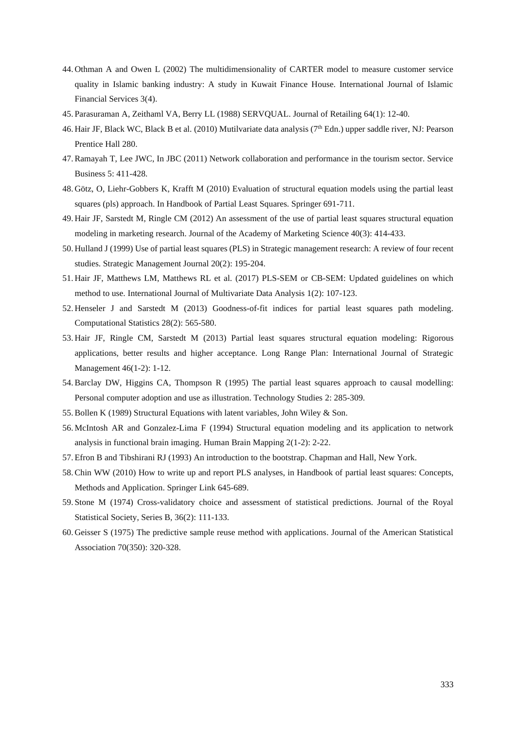- 44. Othman A and Owen L (2002) [The multidimensionality of CARTER model to measure customer service](https://iaif.ir/images/khareji/articles/bank/107.pdf)  [quality in Islamic banking industry: A study in Kuwait Finance House. International Journal of Islamic](https://iaif.ir/images/khareji/articles/bank/107.pdf)  [Financial Services 3\(4\).](https://iaif.ir/images/khareji/articles/bank/107.pdf)
- 45. Parasuraman A, Zeithaml VA, Berry LL (1988) [SERVQUAL. Journal of Retailing 64\(1\):](https://www.researchgate.net/profile/Valarie-Zeithaml-2/publication/225083802_SERVQUAL_A_multiple-_Item_Scale_for_measuring_consumer_perceptions_of_service_quality/links/5429a4540cf27e39fa8e6531/SERVQUAL-A-multiple-Item-Scale-for-measuring-consumer-perceptions-of-service-quality.pdf) 12-40.
- 46. Hair JF, Black WC, Black B et al. (2010) Mutilvariate data analysis (7<sup>th</sup> Edn.) upper saddle river, NJ: Pearson [Prentice Hall 280.](https://www.pearson.com/uk/educators/higher-education-educators/program/Hair-Multivariate-Data-Analysis-Global-Edition-7th-Edition/PGM916641.html)
- 47.Ramayah T, Lee JWC, In JBC (2011) [Network collaboration and performance in the tourism sector. Service](https://link.springer.com/article/10.1007/s11628-011-0120-z)  [Business 5:](https://link.springer.com/article/10.1007/s11628-011-0120-z) 411-428.
- 48. Götz, O, Liehr-Gobbers K, Krafft M (2010) [Evaluation of structural equation models using the partial least](https://link.springer.com/chapter/10.1007/978-3-540-32827-8_30)  [squares \(pls\) approach. In Handbook of Partial Least Squares. Springer 691-711.](https://link.springer.com/chapter/10.1007/978-3-540-32827-8_30)
- 49. Hair JF, Sarstedt M, Ringle CM (2012) [An assessment of the use of partial least squares structural equation](https://link.springer.com/article/10.1007/s11747-011-0261-6)  [modeling in marketing research. Journal of the Academy of Marketing](https://link.springer.com/article/10.1007/s11747-011-0261-6) Science 40(3): 414-433.
- 50. Hulland J (1999) [Use of partial least squares \(PLS\) in Strategic management research: A review of four recent](https://onlinelibrary.wiley.com/doi/10.1002/%28SICI%291097-0266%28199902%2920%3A2%3C195%3A%3AAID-SMJ13%3E3.0.CO%3B2-7)  [studies. Strategic Management Journal 20\(2\):](https://onlinelibrary.wiley.com/doi/10.1002/%28SICI%291097-0266%28199902%2920%3A2%3C195%3A%3AAID-SMJ13%3E3.0.CO%3B2-7) 195-204.
- 51. Hair JF, Matthews LM, Matthews RL et al. (2017) PLS-SEM or [CB-SEM: Updated guidelines on which](https://www.inderscience.com/info/inarticle.php?artid=87624) [method to use. International Journal of Multivariate Data Analysis 1\(2\):](https://www.inderscience.com/info/inarticle.php?artid=87624) 107-123.
- 52. Henseler J and Sarstedt M (2013) [Goodness-of-fit indices for partial least squares path modeling.](https://link.springer.com/article/10.1007/s00180-012-0317-1)  [Computational Statistics 28\(2\):](https://link.springer.com/article/10.1007/s00180-012-0317-1) 565-580.
- 53. Hair JF, Ringle CM, Sarstedt M (2013) [Partial least squares structural equation modeling: Rigorous](https://psycnet.apa.org/record/2013-07989-002)  [applications, better results and higher acceptance. Long Range Plan: International Journal of Strategic](https://psycnet.apa.org/record/2013-07989-002)  [Management](https://psycnet.apa.org/record/2013-07989-002) 46(1-2): 1-12.
- 54.Barclay DW, Higgins CA, Thompson R (1995) [The partial least squares approach to causal modelling:](https://www.researchgate.net/publication/313137896_The_partial_least_squares_approach_to_causal_modeling_Personal_computer_adoption_and_use_as_an_illustration)  [Personal computer adoption and use as illustration. Technology Studies](https://www.researchgate.net/publication/313137896_The_partial_least_squares_approach_to_causal_modeling_Personal_computer_adoption_and_use_as_an_illustration) 2: 285-309.
- 55.Bollen K (1989) [Structural Equations with latent variables, John Wiley & Son.](https://onlinelibrary.wiley.com/doi/book/10.1002/9781118619179)
- 56. McIntosh AR and Gonzalez-Lima F (1994) [Structural equation modeling and its application to network](https://onlinelibrary.wiley.com/doi/abs/10.1002/hbm.460020104)  [analysis in functional brain imaging. Human](https://onlinelibrary.wiley.com/doi/abs/10.1002/hbm.460020104) Brain Mapping 2(1-2): 2-22.
- 57. Efron B and Tibshirani RJ (1993) [An introduction to the bootstrap. Chapman and Hall, New York.](http://www.ru.ac.bd/stat/wp-content/uploads/sites/25/2019/03/501_02_Efron_Introduction-to-the-Bootstrap.pdf)
- 58.Chin WW (2010) [How to write up and report PLS analyses, in Handbook of partial least squares: Concepts,](https://link.springer.com/chapter/10.1007/978-3-540-32827-8_29)  [Methods and Application. Springer](https://link.springer.com/chapter/10.1007/978-3-540-32827-8_29) Link 645-689.
- 59. Stone M (1974) [Cross-validatory choice and assessment of statistical predictions. Journal of the Royal](https://www.jstor.org/stable/2984809)  [Statistical Society, Series B, 36\(2\):](https://www.jstor.org/stable/2984809) 111-133.
- 60. Geisser S (1975) [The predictive sample reuse method with applications. Journal of the American Statistical](https://www.tandfonline.com/doi/abs/10.1080/01621459.1975.10479865#:~:text=An%20account%20is%20given%20of,demonstrating%20the%20technique%20is%20presented.)  [Association](https://www.tandfonline.com/doi/abs/10.1080/01621459.1975.10479865#:~:text=An%20account%20is%20given%20of,demonstrating%20the%20technique%20is%20presented.) 70(350): 320-328.